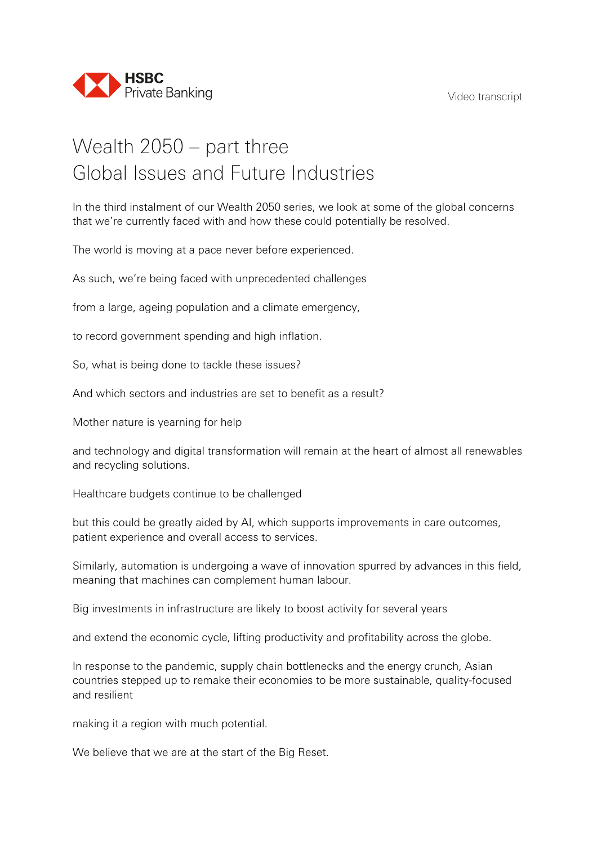

## Wealth 2050 – part three Global Issues and Future Industries

In the third instalment of our Wealth 2050 series, we look at some of the global concerns that we're currently faced with and how these could potentially be resolved.

The world is moving at a pace never before experienced.

As such, we're being faced with unprecedented challenges

from a large, ageing population and a climate emergency,

to record government spending and high inflation.

So, what is being done to tackle these issues?

And which sectors and industries are set to benefit as a result?

Mother nature is yearning for help

and technology and digital transformation will remain at the heart of almost all renewables and recycling solutions.

Healthcare budgets continue to be challenged

but this could be greatly aided by AI, which supports improvements in care outcomes, patient experience and overall access to services.

Similarly, automation is undergoing a wave of innovation spurred by advances in this field, meaning that machines can complement human labour.

Big investments in infrastructure are likely to boost activity for several years

and extend the economic cycle, lifting productivity and profitability across the globe.

In response to the pandemic, supply chain bottlenecks and the energy crunch, Asian countries stepped up to remake their economies to be more sustainable, quality-focused and resilient

making it a region with much potential.

We believe that we are at the start of the Big Reset.